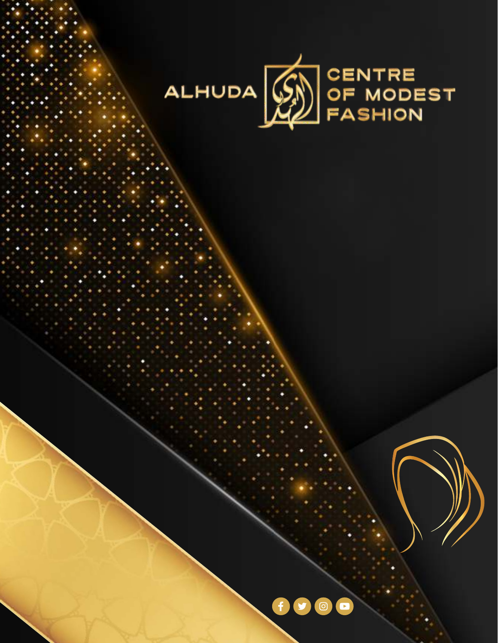



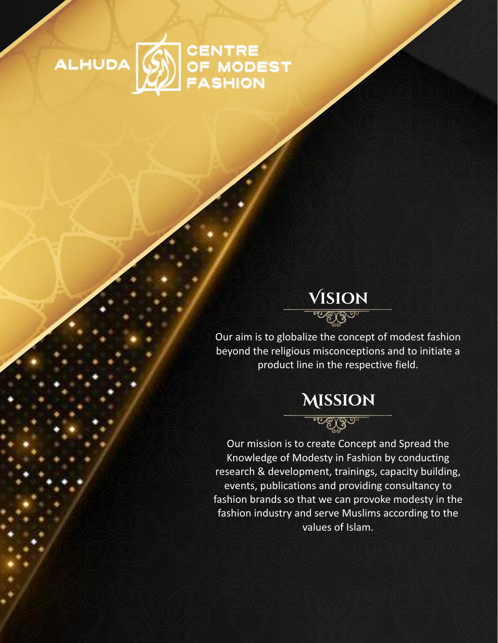

## **VISION** Our aim is to globalize the concept of modest fashion beyond the religious misconceptions and to initiate a product line in the respective field.



Our mission is to create Concept and Spread the Knowledge of Modesty in Fashion by conducting research & development, trainings, capacity building, events, publications and providing consultancy to fashion brands so that we can provoke modesty in the fashion industry and serve Muslims according to the values of Islam.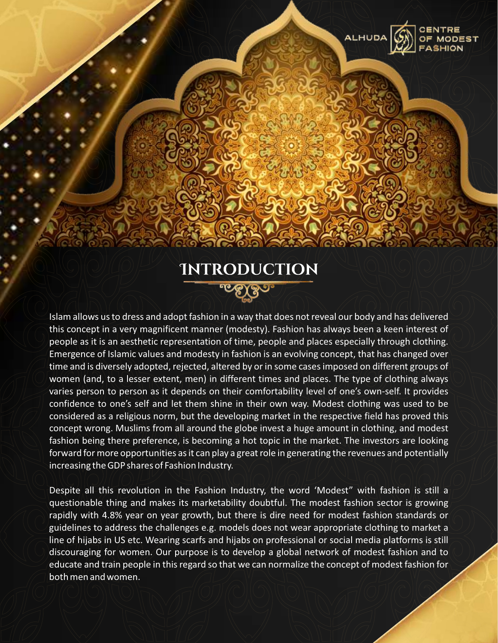

**ALHUDA** 

Islam allows us to dress and adopt fashion in a way that does not reveal our body and has delivered this concept in a very magnificent manner (modesty). Fashion has always been a keen interest of people as it is an aesthetic representation of time, people and places especially through clothing. Emergence of Islamic values and modesty in fashion is an evolving concept, that has changed over time and is diversely adopted, rejected, altered by or in some cases imposed on different groups of women (and, to a lesser extent, men) in different times and places. The type of clothing always varies person to person as it depends on their comfortability level of one's own-self. It provides confidence to one's self and let them shine in their own way. Modest clothing was used to be considered as a religious norm, but the developing market in the respective field has proved this concept wrong. Muslims from all around the globe invest a huge amount in clothing, and modest fashion being there preference, is becoming a hot topic in the market. The investors are looking forward for more opportunities as it can play a great role in generating the revenues and potentially increasing the GDP shares of Fashion Industry.

Despite all this revolution in the Fashion Industry, the word 'Modest" with fashion is still a questionable thing and makes its marketability doubtful. The modest fashion sector is growing rapidly with 4.8% year on year growth, but there is dire need for modest fashion standards or guidelines to address the challenges e.g. models does not wear appropriate clothing to market a line of hijabs in US etc. Wearing scarfs and hijabs on professional or social media platforms is still discouraging for women. Our purpose is to develop a global network of modest fashion and to educate and train people in this regard so that we can normalize the concept of modest fashion for both men and women.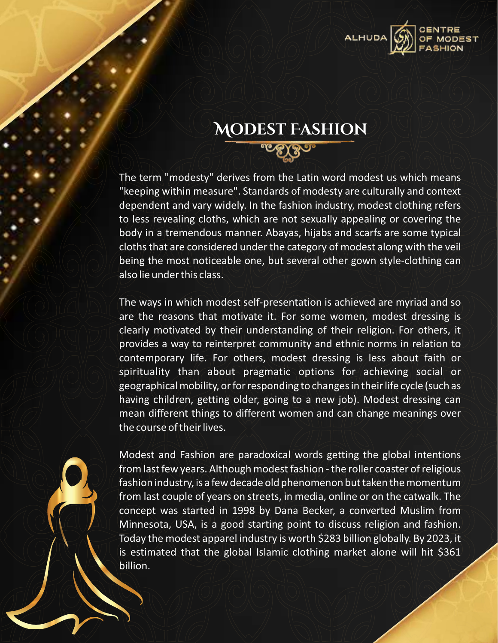

## MODEST FASHION

<u>. గాకోడిం.</u>

The term "modesty" derives from the Latin word modest us which means "keeping within measure". Standards of modesty are culturally and context dependent and vary widely. In the fashion industry, modest clothing refers to less revealing cloths, which are not sexually appealing or covering the body in a tremendous manner. Abayas, hijabs and scarfs are some typical cloths that are considered under the category of modest along with the veil being the most noticeable one, but several other gown style-clothing can also lie under this class.

The ways in which modest self-presentation is achieved are myriad and so are the reasons that motivate it. For some women, modest dressing is clearly motivated by their understanding of their religion. For others, it provides a way to reinterpret community and ethnic norms in relation to contemporary life. For others, modest dressing is less about faith or spirituality than about pragmatic options for achieving social or geographical mobility, or for responding to changes in their life cycle (such as having children, getting older, going to a new job). Modest dressing can mean different things to different women and can change meanings over the course of their lives.

Modest and Fashion are paradoxical words getting the global intentions from last few years. Although modest fashion - the roller coaster of religious fashion industry, is a few decade old phenomenon but taken the momentum from last couple of years on streets, in media, online or on the catwalk. The concept was started in 1998 by Dana Becker, a converted Muslim from Minnesota, USA, is a good starting point to discuss religion and fashion. Today the modest apparel industry is worth \$283 billion globally. By 2023, it is estimated that the global Islamic clothing market alone will hit \$361 billion.